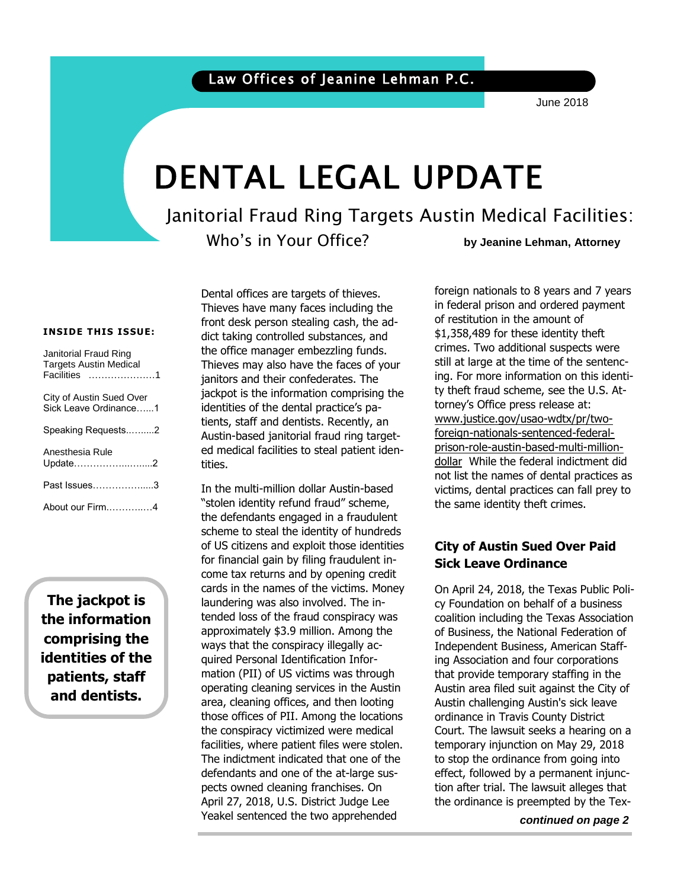June 2018

# DENTAL LEGAL UPDATE

Janitorial Fraud Ring Targets Austin Medical Facilities: Who's in Your Office? **by Jeanine Lehman, Attorney**

#### **INSIDE THIS ISSUE:**

| Janitorial Fraud Ring<br><b>Targets Austin Medical</b><br>Facilities 1 |
|------------------------------------------------------------------------|
| City of Austin Sued Over<br>Sick Leave Ordinance1                      |
| Speaking Requests2                                                     |
| Anesthesia Rule<br>Update2                                             |
| Past Issues………………3                                                     |
| About our Firm4                                                        |

**The jackpot is the information comprising the identities of the patients, staff and dentists.**

Dental offices are targets of thieves. Thieves have many faces including the front desk person stealing cash, the addict taking controlled substances, and the office manager embezzling funds. Thieves may also have the faces of your janitors and their confederates. The jackpot is the information comprising the identities of the dental practice's patients, staff and dentists. Recently, an Austin-based janitorial fraud ring targeted medical facilities to steal patient identities.

In the multi-million dollar Austin-based "stolen identity refund fraud" scheme, the defendants engaged in a fraudulent scheme to steal the identity of hundreds of US citizens and exploit those identities for financial gain by filing fraudulent income tax returns and by opening credit cards in the names of the victims. Money laundering was also involved. The intended loss of the fraud conspiracy was approximately \$3.9 million. Among the ways that the conspiracy illegally acquired Personal Identification Information (PII) of US victims was through operating cleaning services in the Austin area, cleaning offices, and then looting those offices of PII. Among the locations the conspiracy victimized were medical facilities, where patient files were stolen. The indictment indicated that one of the defendants and one of the at-large suspects owned cleaning franchises. On April 27, 2018, U.S. District Judge Lee Yeakel sentenced the two apprehended

foreign nationals to 8 years and 7 years in federal prison and ordered payment of restitution in the amount of \$1,358,489 for these identity theft crimes. Two additional suspects were still at large at the time of the sentencing. For more information on this identity theft fraud scheme, see the U.S. Attorney's Office press release at: [www.justice.gov/usao-wdtx/pr/two](http://www.justice.gov/usao-wdtx/pr/two-foreign-nationals-sentenced-federal-prison-role-austin-based-multi-million-dollar)[foreign-nationals-sentenced-federal](http://www.justice.gov/usao-wdtx/pr/two-foreign-nationals-sentenced-federal-prison-role-austin-based-multi-million-dollar)[prison-role-austin-based-multi-million](http://www.justice.gov/usao-wdtx/pr/two-foreign-nationals-sentenced-federal-prison-role-austin-based-multi-million-dollar)[dollar](http://www.justice.gov/usao-wdtx/pr/two-foreign-nationals-sentenced-federal-prison-role-austin-based-multi-million-dollar) While the federal indictment did not list the names of dental practices as victims, dental practices can fall prey to the same identity theft crimes.

#### **City of Austin Sued Over Paid Sick Leave Ordinance**

On April 24, 2018, the Texas Public Policy Foundation on behalf of a business coalition including the Texas Association of Business, the National Federation of Independent Business, American Staffing Association and four corporations that provide temporary staffing in the Austin area filed suit against the City of Austin challenging Austin's sick leave ordinance in Travis County District Court. The lawsuit seeks a hearing on a temporary injunction on May 29, 2018 to stop the ordinance from going into effect, followed by a permanent injunction after trial. The lawsuit alleges that the ordinance is preempted by the Tex-

*continued on page 2*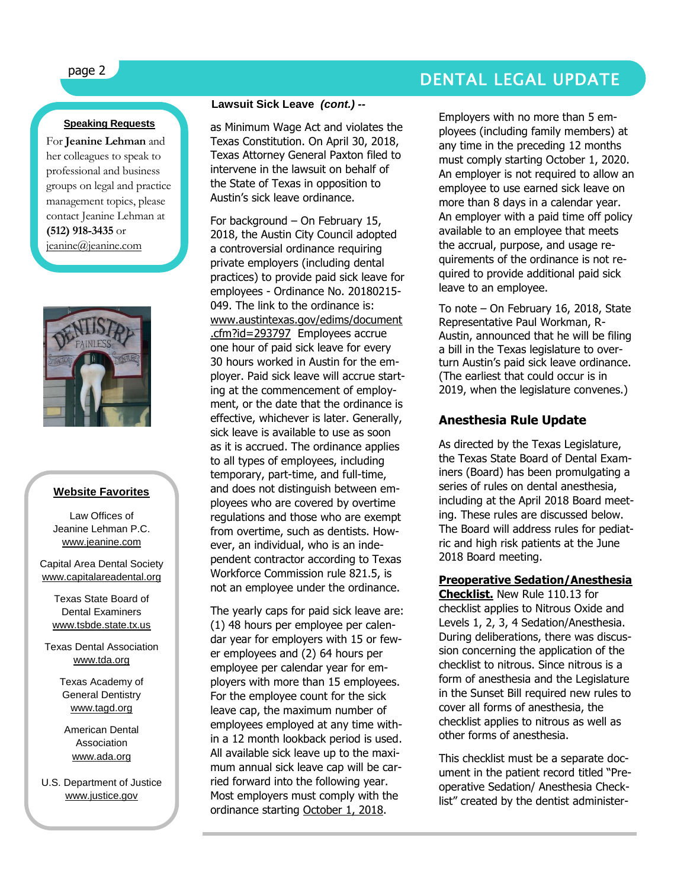## page 2 DENTAL LEGAL UPDATE

#### **Speaking Requests**

For **Jeanine Lehman** and her colleagues to speak to professional and business groups on legal and practice management topics, please contact Jeanine Lehman at **(512) 918-3435** or [jeanine@jeanine.com](mailto:jeanine@jeanine.com)



ì

#### **Website Favorites**

Law Offices of Jeanine Lehman P.C. [www.jeanine.com](http://www.jeanine.com/)

Capital Area Dental Society [www.capitalareadental.org](http://www.capitalareadental.org/)

Texas State Board of Dental Examiners [www.tsbde.state.tx.us](http://www.tsbde.state.tx.us/)

Texas Dental Association [www.tda.org](http://www.tda.org/)

> Texas Academy of General Dentistry [www.tagd.org](http://www.tagd.org/)

American Dental Association [www.ada.org](http://www.ada.org/)

U.S. Department of Justice [www.justice.gov](http://www.justice.gov/)

#### **Lawsuit Sick Leave** *(cont.) --*

as Minimum Wage Act and violates the Texas Constitution. On April 30, 2018, Texas Attorney General Paxton filed to intervene in the lawsuit on behalf of the State of Texas in opposition to Austin's sick leave ordinance.

For background – On February 15, 2018, the Austin City Council adopted a controversial ordinance requiring private employers (including dental practices) to provide paid sick leave for employees - Ordinance No. 20180215- 049. The link to the ordinance is: [www.austintexas.gov/edims/document](http://www.austintexas.gov/edims/document.cfm?id=293797) [.cfm?id=293797](http://www.austintexas.gov/edims/document.cfm?id=293797) Employees accrue one hour of paid sick leave for every 30 hours worked in Austin for the employer. Paid sick leave will accrue starting at the commencement of employment, or the date that the ordinance is effective, whichever is later. Generally, sick leave is available to use as soon as it is accrued. The ordinance applies to all types of employees, including temporary, part-time, and full-time, and does not distinguish between employees who are covered by overtime regulations and those who are exempt from overtime, such as dentists. However, an individual, who is an independent contractor according to Texas Workforce Commission rule 821.5, is not an employee under the ordinance.

The yearly caps for paid sick leave are: (1) 48 hours per employee per calendar year for employers with 15 or fewer employees and (2) 64 hours per employee per calendar year for employers with more than 15 employees. For the employee count for the sick leave cap, the maximum number of employees employed at any time within a 12 month lookback period is used. All available sick leave up to the maximum annual sick leave cap will be carried forward into the following year. Most employers must comply with the ordinance starting October 1, 2018.

Employers with no more than 5 employees (including family members) at any time in the preceding 12 months must comply starting October 1, 2020. An employer is not required to allow an employee to use earned sick leave on more than 8 days in a calendar year. An employer with a paid time off policy available to an employee that meets the accrual, purpose, and usage requirements of the ordinance is not required to provide additional paid sick leave to an employee.

To note – On February 16, 2018, State Representative Paul Workman, R-Austin, announced that he will be filing a bill in the Texas legislature to overturn Austin's paid sick leave ordinance. (The earliest that could occur is in 2019, when the legislature convenes.)

#### **Anesthesia Rule Update**

As directed by the Texas Legislature, the Texas State Board of Dental Examiners (Board) has been promulgating a series of rules on dental anesthesia, including at the April 2018 Board meeting. These rules are discussed below. The Board will address rules for pediatric and high risk patients at the June 2018 Board meeting.

**Preoperative Sedation/Anesthesia Checklist.** New Rule 110.13 for checklist applies to Nitrous Oxide and Levels 1, 2, 3, 4 Sedation/Anesthesia. During deliberations, there was discussion concerning the application of the checklist to nitrous. Since nitrous is a form of anesthesia and the Legislature in the Sunset Bill required new rules to cover all forms of anesthesia, the checklist applies to nitrous as well as other forms of anesthesia.

This checklist must be a separate document in the patient record titled "Preoperative Sedation/ Anesthesia Checklist" created by the dentist administer-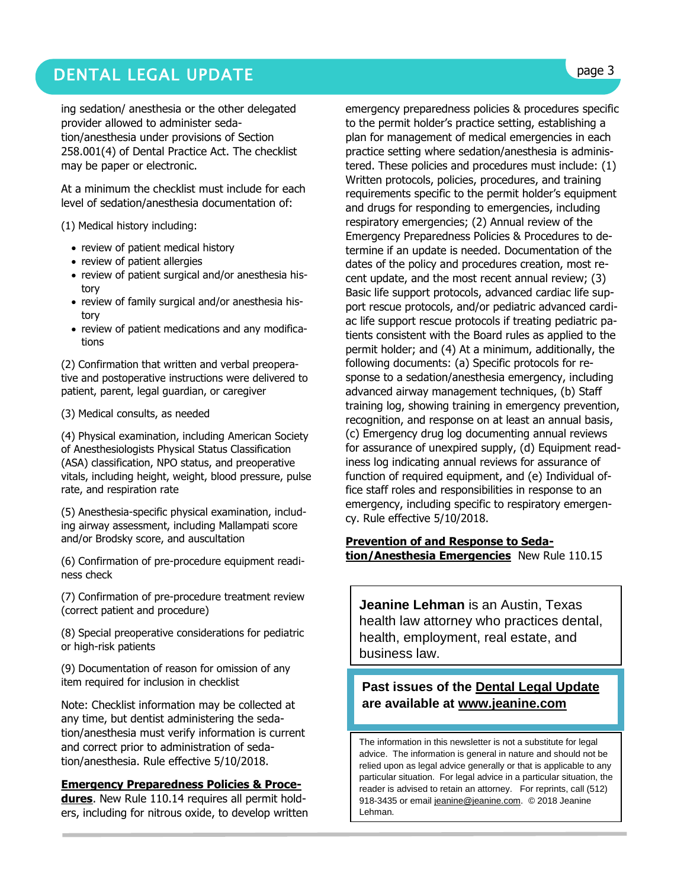## DENTAL LEGAL UPDATE **page 3**

ing sedation/ anesthesia or the other delegated provider allowed to administer sedation/anesthesia under provisions of Section 258.001(4) of Dental Practice Act. The checklist may be paper or electronic.

At a minimum the checklist must include for each level of sedation/anesthesia documentation of:

(1) Medical history including:

- review of patient medical history
- review of patient allergies
- review of patient surgical and/or anesthesia history
- review of family surgical and/or anesthesia history
- review of patient medications and any modifications

(2) Confirmation that written and verbal preoperative and postoperative instructions were delivered to patient, parent, legal guardian, or caregiver

(3) Medical consults, as needed

(4) Physical examination, including American Society of Anesthesiologists Physical Status Classification (ASA) classification, NPO status, and preoperative vitals, including height, weight, blood pressure, pulse rate, and respiration rate

(5) Anesthesia-specific physical examination, including airway assessment, including Mallampati score and/or Brodsky score, and auscultation

(6) Confirmation of pre-procedure equipment readiness check

(7) Confirmation of pre-procedure treatment review (correct patient and procedure)

(8) Special preoperative considerations for pediatric or high-risk patients

(9) Documentation of reason for omission of any item required for inclusion in checklist

Note: Checklist information may be collected at any time, but dentist administering the sedation/anesthesia must verify information is current and correct prior to administration of sedation/anesthesia. Rule effective 5/10/2018.

#### **Emergency Preparedness Policies & Proce-**

**dures**. New Rule 110.14 requires all permit holders, including for nitrous oxide, to develop written emergency preparedness policies & procedures specific to the permit holder's practice setting, establishing a plan for management of medical emergencies in each practice setting where sedation/anesthesia is administered. These policies and procedures must include: (1) Written protocols, policies, procedures, and training requirements specific to the permit holder's equipment and drugs for responding to emergencies, including respiratory emergencies; (2) Annual review of the Emergency Preparedness Policies & Procedures to determine if an update is needed. Documentation of the dates of the policy and procedures creation, most recent update, and the most recent annual review; (3) Basic life support protocols, advanced cardiac life support rescue protocols, and/or pediatric advanced cardiac life support rescue protocols if treating pediatric patients consistent with the Board rules as applied to the permit holder; and (4) At a minimum, additionally, the following documents: (a) Specific protocols for response to a sedation/anesthesia emergency, including advanced airway management techniques, (b) Staff training log, showing training in emergency prevention, recognition, and response on at least an annual basis, (c) Emergency drug log documenting annual reviews for assurance of unexpired supply, (d) Equipment readiness log indicating annual reviews for assurance of function of required equipment, and (e) Individual office staff roles and responsibilities in response to an emergency, including specific to respiratory emergency. Rule effective 5/10/2018.

#### **Prevention of and Response to Sedation/Anesthesia Emergencies** New Rule 110.15

**Jeanine Lehman** is an Austin, Texas health law attorney who practices dental, health, employment, real estate, and business law.

### **Past issues of the Dental Legal Update are available at [www.jeanine.com](http://www.jeanine.com/)**

The information in this newsletter is not a substitute for legal advice. The information is general in nature and should not be relied upon as legal advice generally or that is applicable to any particular situation. For legal advice in a particular situation, the reader is advised to retain an attorney. For reprints, call (512) 918-3435 or email [jeanine@jeanine.com.](mailto:jeanine@jeanine.com) © 2018 Jeanine Lehman.